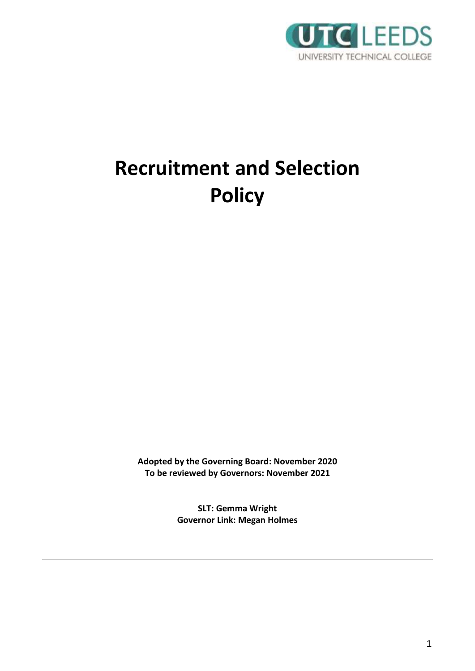

# **Recruitment and Selection Policy**

**Adopted by the Governing Board: November 2020 To be reviewed by Governors: November 2021**

> **SLT: Gemma Wright Governor Link: Megan Holmes**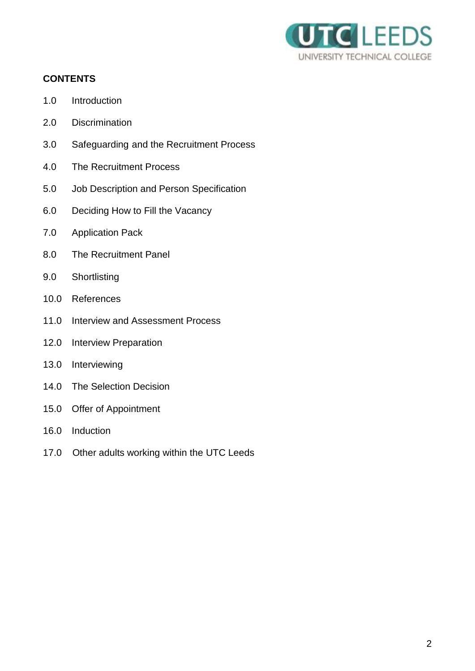

# **CONTENTS**

- 1.0 Introduction
- 2.0 Discrimination
- 3.0 Safeguarding and the Recruitment Process
- 4.0 The Recruitment Process
- 5.0 Job Description and Person Specification
- 6.0 Deciding How to Fill the Vacancy
- 7.0 Application Pack
- 8.0 The Recruitment Panel
- 9.0 Shortlisting
- 10.0 References
- 11.0 Interview and Assessment Process
- 12.0 Interview Preparation
- 13.0 Interviewing
- 14.0 The Selection Decision
- 15.0 Offer of Appointment
- 16.0 Induction
- 17.0 Other adults working within the UTC Leeds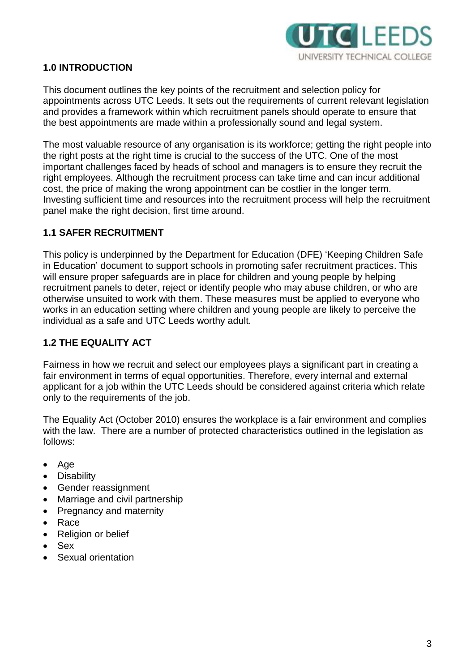

## **1.0 INTRODUCTION**

This document outlines the key points of the recruitment and selection policy for appointments across UTC Leeds. It sets out the requirements of current relevant legislation and provides a framework within which recruitment panels should operate to ensure that the best appointments are made within a professionally sound and legal system.

The most valuable resource of any organisation is its workforce; getting the right people into the right posts at the right time is crucial to the success of the UTC. One of the most important challenges faced by heads of school and managers is to ensure they recruit the right employees. Although the recruitment process can take time and can incur additional cost, the price of making the wrong appointment can be costlier in the longer term. Investing sufficient time and resources into the recruitment process will help the recruitment panel make the right decision, first time around.

## **1.1 SAFER RECRUITMENT**

This policy is underpinned by the Department for Education (DFE) 'Keeping Children Safe in Education' document to support schools in promoting safer recruitment practices. This will ensure proper safeguards are in place for children and young people by helping recruitment panels to deter, reject or identify people who may abuse children, or who are otherwise unsuited to work with them. These measures must be applied to everyone who works in an education setting where children and young people are likely to perceive the individual as a safe and UTC Leeds worthy adult.

## **1.2 THE EQUALITY ACT**

Fairness in how we recruit and select our employees plays a significant part in creating a fair environment in terms of equal opportunities. Therefore, every internal and external applicant for a job within the UTC Leeds should be considered against criteria which relate only to the requirements of the job.

The Equality Act (October 2010) ensures the workplace is a fair environment and complies with the law. There are a number of protected characteristics outlined in the legislation as follows:

- $\bullet$  Age
- **Disability**
- Gender reassignment
- Marriage and civil partnership
- Pregnancy and maternity
- Race
- Religion or belief
- Sex
- Sexual orientation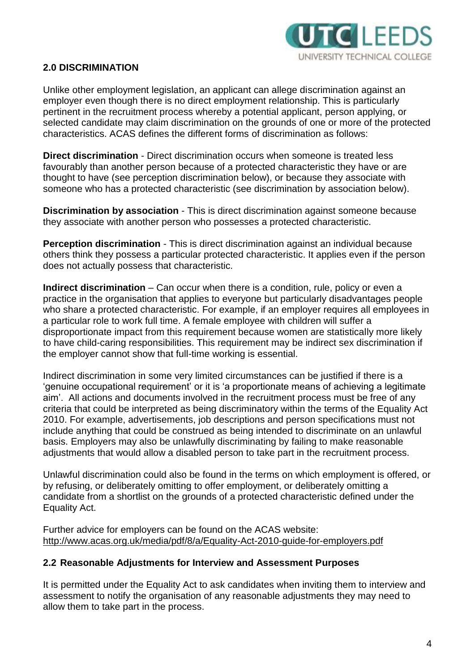

## **2.0 DISCRIMINATION**

Unlike other employment legislation, an applicant can allege discrimination against an employer even though there is no direct employment relationship. This is particularly pertinent in the recruitment process whereby a potential applicant, person applying, or selected candidate may claim discrimination on the grounds of one or more of the protected characteristics. ACAS defines the different forms of discrimination as follows:

**Direct discrimination** - Direct discrimination occurs when someone is treated less favourably than another person because of a protected characteristic they have or are thought to have (see perception discrimination below), or because they associate with someone who has a protected characteristic (see discrimination by association below).

**Discrimination by association** - This is direct discrimination against someone because they associate with another person who possesses a protected characteristic.

**Perception discrimination** - This is direct discrimination against an individual because others think they possess a particular protected characteristic. It applies even if the person does not actually possess that characteristic.

**Indirect discrimination** – Can occur when there is a condition, rule, policy or even a practice in the organisation that applies to everyone but particularly disadvantages people who share a protected characteristic. For example, if an employer requires all employees in a particular role to work full time. A female employee with children will suffer a disproportionate impact from this requirement because women are statistically more likely to have child-caring responsibilities. This requirement may be indirect sex discrimination if the employer cannot show that full-time working is essential.

Indirect discrimination in some very limited circumstances can be justified if there is a 'genuine occupational requirement' or it is 'a proportionate means of achieving a legitimate aim'. All actions and documents involved in the recruitment process must be free of any criteria that could be interpreted as being discriminatory within the terms of the Equality Act 2010. For example, advertisements, job descriptions and person specifications must not include anything that could be construed as being intended to discriminate on an unlawful basis. Employers may also be unlawfully discriminating by failing to make reasonable adjustments that would allow a disabled person to take part in the recruitment process.

Unlawful discrimination could also be found in the terms on which employment is offered, or by refusing, or deliberately omitting to offer employment, or deliberately omitting a candidate from a shortlist on the grounds of a protected characteristic defined under the Equality Act.

Further advice for employers can be found on the ACAS website: <http://www.acas.org.uk/media/pdf/8/a/Equality-Act-2010-guide-for-employers.pdf>

#### **2.2 Reasonable Adjustments for Interview and Assessment Purposes**

It is permitted under the Equality Act to ask candidates when inviting them to interview and assessment to notify the organisation of any reasonable adjustments they may need to allow them to take part in the process.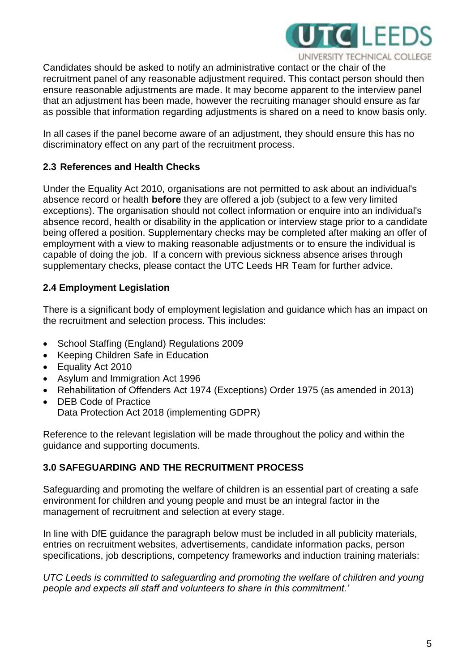

Candidates should be asked to notify an administrative contact or the chair of the recruitment panel of any reasonable adjustment required. This contact person should then ensure reasonable adjustments are made. It may become apparent to the interview panel that an adjustment has been made, however the recruiting manager should ensure as far as possible that information regarding adjustments is shared on a need to know basis only.

In all cases if the panel become aware of an adjustment, they should ensure this has no discriminatory effect on any part of the recruitment process.

# **2.3 References and Health Checks**

Under the Equality Act 2010, organisations are not permitted to ask about an individual's absence record or health **before** they are offered a job (subject to a few very limited exceptions). The organisation should not collect information or enquire into an individual's absence record, health or disability in the application or interview stage prior to a candidate being offered a position. Supplementary checks may be completed after making an offer of employment with a view to making reasonable adjustments or to ensure the individual is capable of doing the job. If a concern with previous sickness absence arises through supplementary checks, please contact the UTC Leeds HR Team for further advice.

# **2.4 Employment Legislation**

There is a significant body of employment legislation and guidance which has an impact on the recruitment and selection process. This includes:

- School Staffing (England) Regulations 2009
- Keeping Children Safe in Education
- Equality Act 2010
- Asylum and Immigration Act 1996
- Rehabilitation of Offenders Act 1974 (Exceptions) Order 1975 (as amended in 2013)
- DEB Code of Practice Data Protection Act 2018 (implementing GDPR)

Reference to the relevant legislation will be made throughout the policy and within the guidance and supporting documents.

# **3.0 SAFEGUARDING AND THE RECRUITMENT PROCESS**

Safeguarding and promoting the welfare of children is an essential part of creating a safe environment for children and young people and must be an integral factor in the management of recruitment and selection at every stage.

In line with DfE guidance the paragraph below must be included in all publicity materials, entries on recruitment websites, advertisements, candidate information packs, person specifications, job descriptions, competency frameworks and induction training materials:

*UTC Leeds is committed to safeguarding and promoting the welfare of children and young people and expects all staff and volunteers to share in this commitment.'*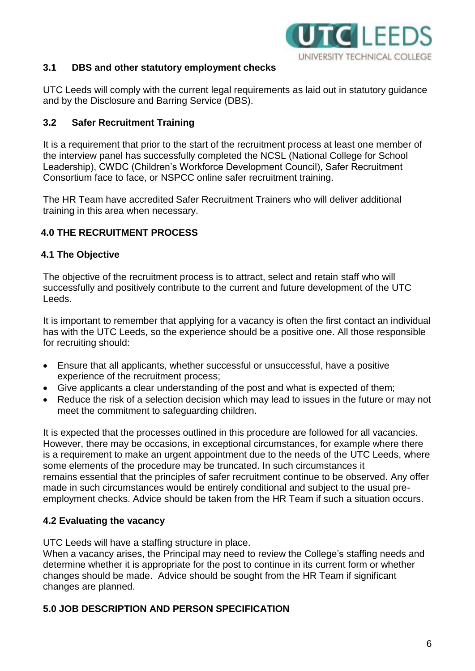

#### **3.1 DBS and other statutory employment checks**

UTC Leeds will comply with the current legal requirements as laid out in statutory guidance and by the Disclosure and Barring Service (DBS).

## **3.2 Safer Recruitment Training**

It is a requirement that prior to the start of the recruitment process at least one member of the interview panel has successfully completed the NCSL (National College for School Leadership), CWDC (Children's Workforce Development Council), Safer Recruitment Consortium face to face, or NSPCC online safer recruitment training.

The HR Team have accredited Safer Recruitment Trainers who will deliver additional training in this area when necessary.

# **4.0 THE RECRUITMENT PROCESS**

#### **4.1 The Objective**

The objective of the recruitment process is to attract, select and retain staff who will successfully and positively contribute to the current and future development of the UTC Leeds.

It is important to remember that applying for a vacancy is often the first contact an individual has with the UTC Leeds, so the experience should be a positive one. All those responsible for recruiting should:

- Ensure that all applicants, whether successful or unsuccessful, have a positive experience of the recruitment process;
- Give applicants a clear understanding of the post and what is expected of them;
- Reduce the risk of a selection decision which may lead to issues in the future or may not meet the commitment to safeguarding children.

It is expected that the processes outlined in this procedure are followed for all vacancies. However, there may be occasions, in exceptional circumstances, for example where there is a requirement to make an urgent appointment due to the needs of the UTC Leeds, where some elements of the procedure may be truncated. In such circumstances it remains essential that the principles of safer recruitment continue to be observed. Any offer made in such circumstances would be entirely conditional and subject to the usual preemployment checks. Advice should be taken from the HR Team if such a situation occurs.

## **4.2 Evaluating the vacancy**

UTC Leeds will have a staffing structure in place.

When a vacancy arises, the Principal may need to review the College's staffing needs and determine whether it is appropriate for the post to continue in its current form or whether changes should be made. Advice should be sought from the HR Team if significant changes are planned.

## **5.0 JOB DESCRIPTION AND PERSON SPECIFICATION**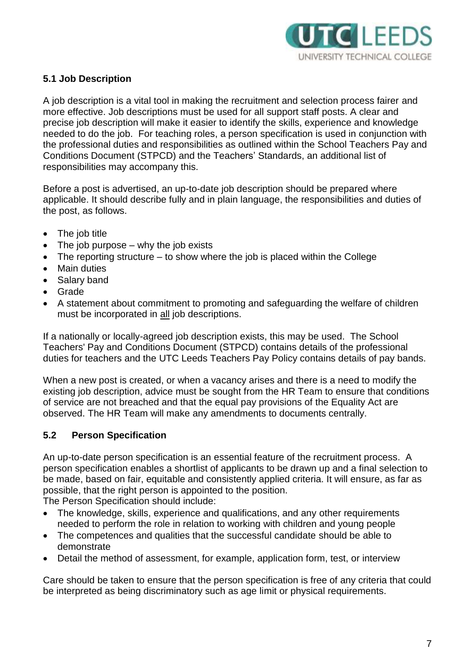

## **5.1 Job Description**

A job description is a vital tool in making the recruitment and selection process fairer and more effective. Job descriptions must be used for all support staff posts. A clear and precise job description will make it easier to identify the skills, experience and knowledge needed to do the job. For teaching roles, a person specification is used in conjunction with the professional duties and responsibilities as outlined within the School Teachers Pay and Conditions Document (STPCD) and the Teachers' Standards, an additional list of responsibilities may accompany this.

Before a post is advertised, an up-to-date job description should be prepared where applicable. It should describe fully and in plain language, the responsibilities and duties of the post, as follows.

- The job title
- $\bullet$  The job purpose why the job exists
- $\bullet$  The reporting structure to show where the job is placed within the College
- Main duties
- Salary band
- Grade
- A statement about commitment to promoting and safeguarding the welfare of children must be incorporated in all job descriptions.

If a nationally or locally-agreed job description exists, this may be used. The School Teachers' Pay and Conditions Document (STPCD) contains details of the professional duties for teachers and the UTC Leeds Teachers Pay Policy contains details of pay bands.

When a new post is created, or when a vacancy arises and there is a need to modify the existing job description, advice must be sought from the HR Team to ensure that conditions of service are not breached and that the equal pay provisions of the Equality Act are observed. The HR Team will make any amendments to documents centrally.

## **5.2 Person Specification**

An up-to-date person specification is an essential feature of the recruitment process. A person specification enables a shortlist of applicants to be drawn up and a final selection to be made, based on fair, equitable and consistently applied criteria. It will ensure, as far as possible, that the right person is appointed to the position. The Person Specification should include:

- The knowledge, skills, experience and qualifications, and any other requirements needed to perform the role in relation to working with children and young people
- The competences and qualities that the successful candidate should be able to demonstrate
- Detail the method of assessment, for example, application form, test, or interview

Care should be taken to ensure that the person specification is free of any criteria that could be interpreted as being discriminatory such as age limit or physical requirements.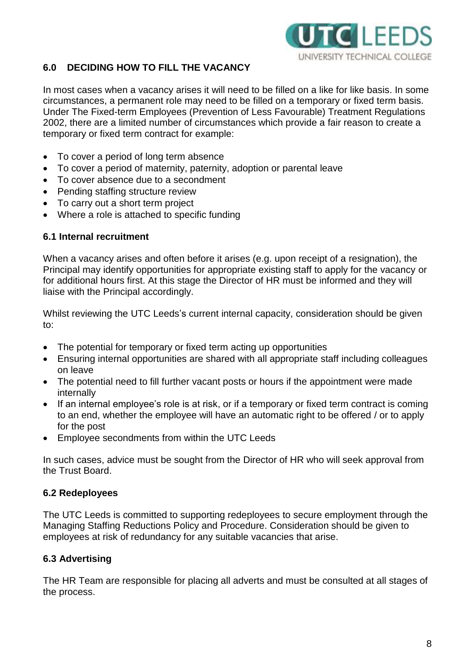

# **6.0 DECIDING HOW TO FILL THE VACANCY**

In most cases when a vacancy arises it will need to be filled on a like for like basis. In some circumstances, a permanent role may need to be filled on a temporary or fixed term basis. Under The Fixed-term Employees (Prevention of Less Favourable) Treatment Regulations 2002, there are a limited number of circumstances which provide a fair reason to create a temporary or fixed term contract for example:

- To cover a period of long term absence
- To cover a period of maternity, paternity, adoption or parental leave
- To cover absence due to a secondment
- Pending staffing structure review
- To carry out a short term project
- Where a role is attached to specific funding

#### **6.1 Internal recruitment**

When a vacancy arises and often before it arises (e.g. upon receipt of a resignation), the Principal may identify opportunities for appropriate existing staff to apply for the vacancy or for additional hours first. At this stage the Director of HR must be informed and they will liaise with the Principal accordingly.

Whilst reviewing the UTC Leeds's current internal capacity, consideration should be given to:

- The potential for temporary or fixed term acting up opportunities
- Ensuring internal opportunities are shared with all appropriate staff including colleagues on leave
- The potential need to fill further vacant posts or hours if the appointment were made internally
- If an internal employee's role is at risk, or if a temporary or fixed term contract is coming to an end, whether the employee will have an automatic right to be offered / or to apply for the post
- Employee secondments from within the UTC Leeds

In such cases, advice must be sought from the Director of HR who will seek approval from the Trust Board.

#### **6.2 Redeployees**

The UTC Leeds is committed to supporting redeployees to secure employment through the Managing Staffing Reductions Policy and Procedure. Consideration should be given to employees at risk of redundancy for any suitable vacancies that arise.

#### **6.3 Advertising**

The HR Team are responsible for placing all adverts and must be consulted at all stages of the process.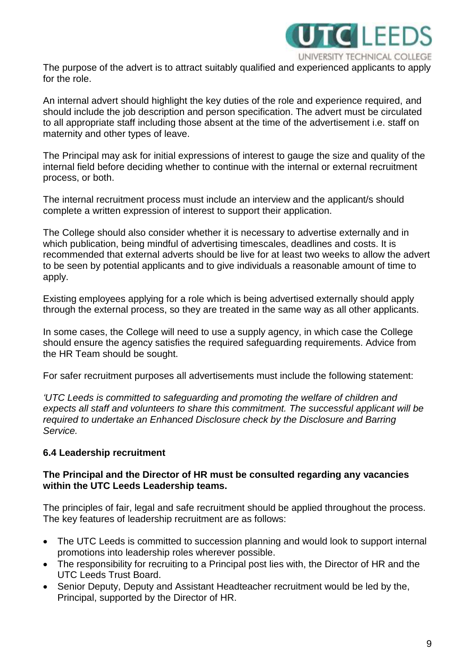

The purpose of the advert is to attract suitably qualified and experienced applicants to apply for the role.

An internal advert should highlight the key duties of the role and experience required, and should include the job description and person specification. The advert must be circulated to all appropriate staff including those absent at the time of the advertisement i.e. staff on maternity and other types of leave.

The Principal may ask for initial expressions of interest to gauge the size and quality of the internal field before deciding whether to continue with the internal or external recruitment process, or both.

The internal recruitment process must include an interview and the applicant/s should complete a written expression of interest to support their application.

The College should also consider whether it is necessary to advertise externally and in which publication, being mindful of advertising timescales, deadlines and costs. It is recommended that external adverts should be live for at least two weeks to allow the advert to be seen by potential applicants and to give individuals a reasonable amount of time to apply.

Existing employees applying for a role which is being advertised externally should apply through the external process, so they are treated in the same way as all other applicants.

In some cases, the College will need to use a supply agency, in which case the College should ensure the agency satisfies the required safeguarding requirements. Advice from the HR Team should be sought.

For safer recruitment purposes all advertisements must include the following statement:

*'UTC Leeds is committed to safeguarding and promoting the welfare of children and expects all staff and volunteers to share this commitment. The successful applicant will be required to undertake an Enhanced Disclosure check by the Disclosure and Barring Service.* 

#### **6.4 Leadership recruitment**

#### **The Principal and the Director of HR must be consulted regarding any vacancies within the UTC Leeds Leadership teams.**

The principles of fair, legal and safe recruitment should be applied throughout the process. The key features of leadership recruitment are as follows:

- The UTC Leeds is committed to succession planning and would look to support internal promotions into leadership roles wherever possible.
- The responsibility for recruiting to a Principal post lies with, the Director of HR and the UTC Leeds Trust Board.
- Senior Deputy, Deputy and Assistant Headteacher recruitment would be led by the, Principal, supported by the Director of HR.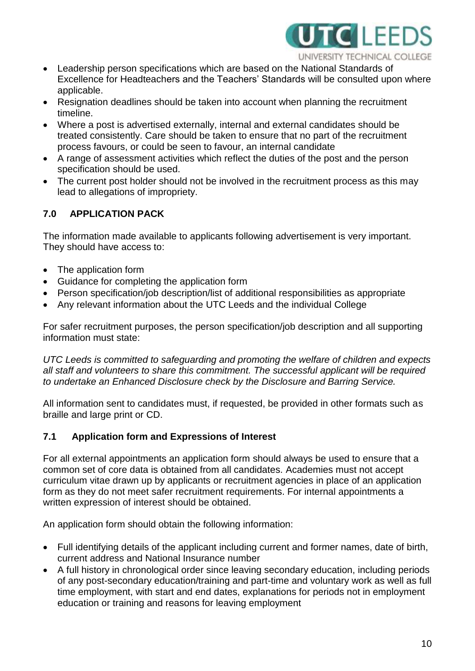

- Leadership person specifications which are based on the National Standards of Excellence for Headteachers and the Teachers' Standards will be consulted upon where applicable.
- Resignation deadlines should be taken into account when planning the recruitment timeline.
- Where a post is advertised externally, internal and external candidates should be treated consistently. Care should be taken to ensure that no part of the recruitment process favours, or could be seen to favour, an internal candidate
- A range of assessment activities which reflect the duties of the post and the person specification should be used.
- The current post holder should not be involved in the recruitment process as this may lead to allegations of impropriety.

# **7.0 APPLICATION PACK**

The information made available to applicants following advertisement is very important. They should have access to:

- The application form
- Guidance for completing the application form
- Person specification/job description/list of additional responsibilities as appropriate
- Any relevant information about the UTC Leeds and the individual College

For safer recruitment purposes, the person specification/job description and all supporting information must state:

*UTC Leeds is committed to safeguarding and promoting the welfare of children and expects all staff and volunteers to share this commitment. The successful applicant will be required to undertake an Enhanced Disclosure check by the Disclosure and Barring Service.* 

All information sent to candidates must, if requested, be provided in other formats such as braille and large print or CD.

## **7.1 Application form and Expressions of Interest**

For all external appointments an application form should always be used to ensure that a common set of core data is obtained from all candidates. Academies must not accept curriculum vitae drawn up by applicants or recruitment agencies in place of an application form as they do not meet safer recruitment requirements. For internal appointments a written expression of interest should be obtained.

An application form should obtain the following information:

- Full identifying details of the applicant including current and former names, date of birth, current address and National Insurance number
- A full history in chronological order since leaving secondary education, including periods of any post-secondary education/training and part-time and voluntary work as well as full time employment, with start and end dates, explanations for periods not in employment education or training and reasons for leaving employment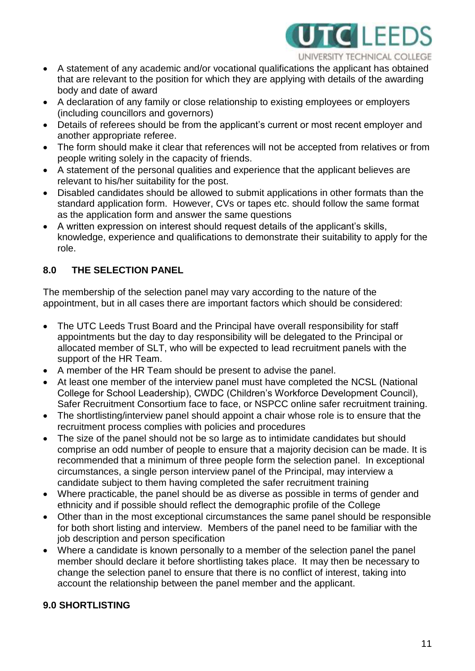

- A statement of any academic and/or vocational qualifications the applicant has obtained that are relevant to the position for which they are applying with details of the awarding body and date of award
- A declaration of any family or close relationship to existing employees or employers (including councillors and governors)
- Details of referees should be from the applicant's current or most recent employer and another appropriate referee.
- The form should make it clear that references will not be accepted from relatives or from people writing solely in the capacity of friends.
- A statement of the personal qualities and experience that the applicant believes are relevant to his/her suitability for the post.
- Disabled candidates should be allowed to submit applications in other formats than the standard application form. However, CVs or tapes etc. should follow the same format as the application form and answer the same questions
- A written expression on interest should request details of the applicant's skills, knowledge, experience and qualifications to demonstrate their suitability to apply for the role.

# **8.0 THE SELECTION PANEL**

The membership of the selection panel may vary according to the nature of the appointment, but in all cases there are important factors which should be considered:

- The UTC Leeds Trust Board and the Principal have overall responsibility for staff appointments but the day to day responsibility will be delegated to the Principal or allocated member of SLT, who will be expected to lead recruitment panels with the support of the HR Team.
- A member of the HR Team should be present to advise the panel.
- At least one member of the interview panel must have completed the NCSL (National College for School Leadership), CWDC (Children's Workforce Development Council), Safer Recruitment Consortium face to face, or NSPCC online safer recruitment training.
- The shortlisting/interview panel should appoint a chair whose role is to ensure that the recruitment process complies with policies and procedures
- The size of the panel should not be so large as to intimidate candidates but should comprise an odd number of people to ensure that a majority decision can be made. It is recommended that a minimum of three people form the selection panel. In exceptional circumstances, a single person interview panel of the Principal, may interview a candidate subject to them having completed the safer recruitment training
- Where practicable, the panel should be as diverse as possible in terms of gender and ethnicity and if possible should reflect the demographic profile of the College
- Other than in the most exceptional circumstances the same panel should be responsible for both short listing and interview. Members of the panel need to be familiar with the job description and person specification
- Where a candidate is known personally to a member of the selection panel the panel member should declare it before shortlisting takes place. It may then be necessary to change the selection panel to ensure that there is no conflict of interest, taking into account the relationship between the panel member and the applicant.

# **9.0 SHORTLISTING**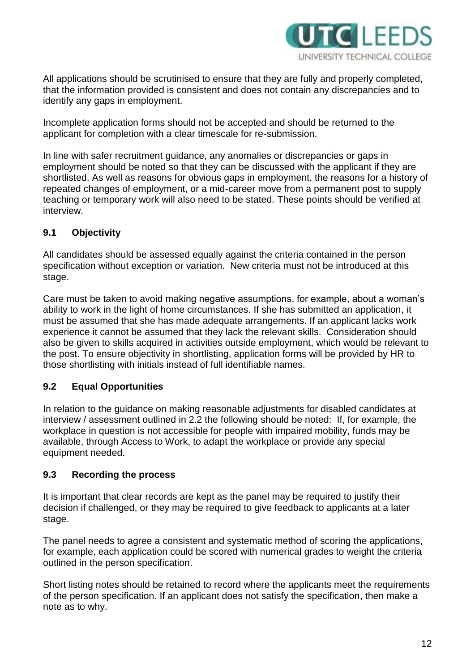

All applications should be scrutinised to ensure that they are fully and properly completed, that the information provided is consistent and does not contain any discrepancies and to identify any gaps in employment.

Incomplete application forms should not be accepted and should be returned to the applicant for completion with a clear timescale for re-submission.

In line with safer recruitment guidance, any anomalies or discrepancies or gaps in employment should be noted so that they can be discussed with the applicant if they are shortlisted. As well as reasons for obvious gaps in employment, the reasons for a history of repeated changes of employment, or a mid-career move from a permanent post to supply teaching or temporary work will also need to be stated. These points should be verified at interview.

# **9.1 Objectivity**

All candidates should be assessed equally against the criteria contained in the person specification without exception or variation. New criteria must not be introduced at this stage.

Care must be taken to avoid making negative assumptions, for example, about a woman's ability to work in the light of home circumstances. If she has submitted an application, it must be assumed that she has made adequate arrangements. If an applicant lacks work experience it cannot be assumed that they lack the relevant skills. Consideration should also be given to skills acquired in activities outside employment, which would be relevant to the post. To ensure objectivity in shortlisting, application forms will be provided by HR to those shortlisting with initials instead of full identifiable names.

## **9.2 Equal Opportunities**

In relation to the guidance on making reasonable adjustments for disabled candidates at interview / assessment outlined in 2.2 the following should be noted: If, for example, the workplace in question is not accessible for people with impaired mobility, funds may be available, through Access to Work, to adapt the workplace or provide any special equipment needed.

## **9.3 Recording the process**

It is important that clear records are kept as the panel may be required to justify their decision if challenged, or they may be required to give feedback to applicants at a later stage.

The panel needs to agree a consistent and systematic method of scoring the applications, for example, each application could be scored with numerical grades to weight the criteria outlined in the person specification.

Short listing notes should be retained to record where the applicants meet the requirements of the person specification. If an applicant does not satisfy the specification, then make a note as to why.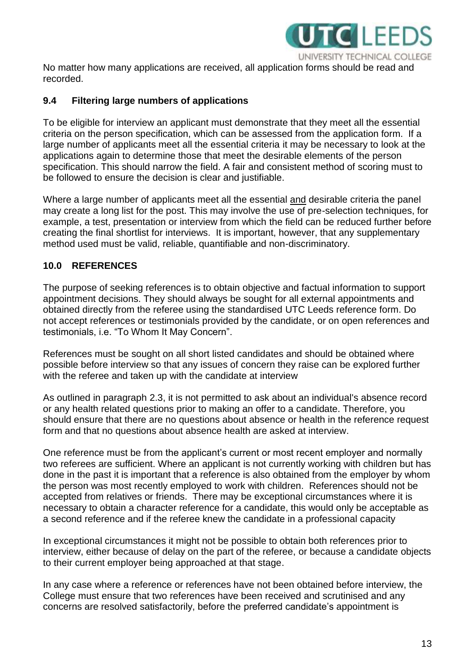

No matter how many applications are received, all application forms should be read and recorded.

#### **9.4 Filtering large numbers of applications**

To be eligible for interview an applicant must demonstrate that they meet all the essential criteria on the person specification, which can be assessed from the application form. If a large number of applicants meet all the essential criteria it may be necessary to look at the applications again to determine those that meet the desirable elements of the person specification. This should narrow the field. A fair and consistent method of scoring must to be followed to ensure the decision is clear and justifiable.

Where a large number of applicants meet all the essential and desirable criteria the panel may create a long list for the post. This may involve the use of pre-selection techniques, for example, a test, presentation or interview from which the field can be reduced further before creating the final shortlist for interviews. It is important, however, that any supplementary method used must be valid, reliable, quantifiable and non-discriminatory.

## **10.0 REFERENCES**

The purpose of seeking references is to obtain objective and factual information to support appointment decisions. They should always be sought for all external appointments and obtained directly from the referee using the standardised UTC Leeds reference form. Do not accept references or testimonials provided by the candidate, or on open references and testimonials, i.e. "To Whom It May Concern".

References must be sought on all short listed candidates and should be obtained where possible before interview so that any issues of concern they raise can be explored further with the referee and taken up with the candidate at interview

As outlined in paragraph 2.3, it is not permitted to ask about an individual's absence record or any health related questions prior to making an offer to a candidate. Therefore, you should ensure that there are no questions about absence or health in the reference request form and that no questions about absence health are asked at interview.

One reference must be from the applicant's current or most recent employer and normally two referees are sufficient. Where an applicant is not currently working with children but has done in the past it is important that a reference is also obtained from the employer by whom the person was most recently employed to work with children. References should not be accepted from relatives or friends. There may be exceptional circumstances where it is necessary to obtain a character reference for a candidate, this would only be acceptable as a second reference and if the referee knew the candidate in a professional capacity

In exceptional circumstances it might not be possible to obtain both references prior to interview, either because of delay on the part of the referee, or because a candidate objects to their current employer being approached at that stage.

In any case where a reference or references have not been obtained before interview, the College must ensure that two references have been received and scrutinised and any concerns are resolved satisfactorily, before the preferred candidate's appointment is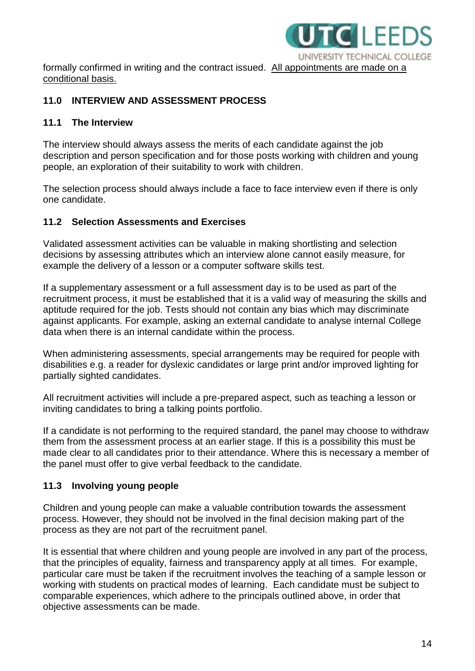

formally confirmed in writing and the contract issued. All appointments are made on a conditional basis.

## **11.0 INTERVIEW AND ASSESSMENT PROCESS**

#### **11.1 The Interview**

The interview should always assess the merits of each candidate against the job description and person specification and for those posts working with children and young people, an exploration of their suitability to work with children.

The selection process should always include a face to face interview even if there is only one candidate.

#### **11.2 Selection Assessments and Exercises**

Validated assessment activities can be valuable in making shortlisting and selection decisions by assessing attributes which an interview alone cannot easily measure, for example the delivery of a lesson or a computer software skills test.

If a supplementary assessment or a full assessment day is to be used as part of the recruitment process, it must be established that it is a valid way of measuring the skills and aptitude required for the job. Tests should not contain any bias which may discriminate against applicants. For example, asking an external candidate to analyse internal College data when there is an internal candidate within the process.

When administering assessments, special arrangements may be required for people with disabilities e.g. a reader for dyslexic candidates or large print and/or improved lighting for partially sighted candidates.

All recruitment activities will include a pre-prepared aspect, such as teaching a lesson or inviting candidates to bring a talking points portfolio.

If a candidate is not performing to the required standard, the panel may choose to withdraw them from the assessment process at an earlier stage. If this is a possibility this must be made clear to all candidates prior to their attendance. Where this is necessary a member of the panel must offer to give verbal feedback to the candidate.

## **11.3 Involving young people**

Children and young people can make a valuable contribution towards the assessment process. However, they should not be involved in the final decision making part of the process as they are not part of the recruitment panel.

It is essential that where children and young people are involved in any part of the process, that the principles of equality, fairness and transparency apply at all times. For example, particular care must be taken if the recruitment involves the teaching of a sample lesson or working with students on practical modes of learning. Each candidate must be subject to comparable experiences, which adhere to the principals outlined above, in order that objective assessments can be made.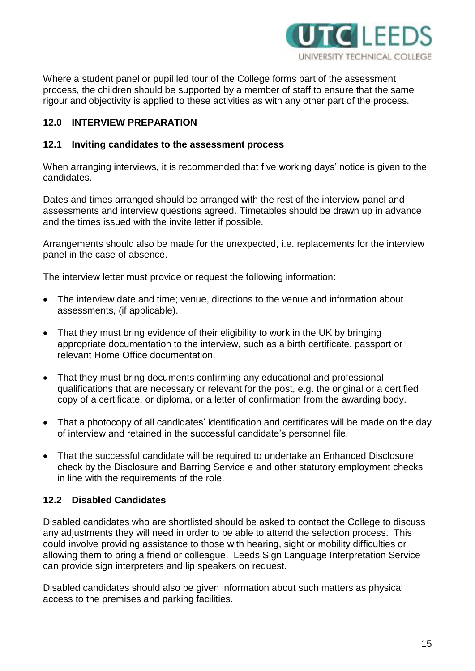

Where a student panel or pupil led tour of the College forms part of the assessment process, the children should be supported by a member of staff to ensure that the same rigour and objectivity is applied to these activities as with any other part of the process.

## **12.0 INTERVIEW PREPARATION**

#### **12.1 Inviting candidates to the assessment process**

When arranging interviews, it is recommended that five working days' notice is given to the candidates.

Dates and times arranged should be arranged with the rest of the interview panel and assessments and interview questions agreed. Timetables should be drawn up in advance and the times issued with the invite letter if possible.

Arrangements should also be made for the unexpected, i.e. replacements for the interview panel in the case of absence.

The interview letter must provide or request the following information:

- The interview date and time; venue, directions to the venue and information about assessments, (if applicable).
- That they must bring evidence of their eligibility to work in the UK by bringing appropriate documentation to the interview, such as a birth certificate, passport or relevant Home Office documentation.
- That they must bring documents confirming any educational and professional qualifications that are necessary or relevant for the post, e.g. the original or a certified copy of a certificate, or diploma, or a letter of confirmation from the awarding body.
- That a photocopy of all candidates' identification and certificates will be made on the day of interview and retained in the successful candidate's personnel file.
- That the successful candidate will be required to undertake an Enhanced Disclosure check by the Disclosure and Barring Service e and other statutory employment checks in line with the requirements of the role.

## **12.2 Disabled Candidates**

Disabled candidates who are shortlisted should be asked to contact the College to discuss any adjustments they will need in order to be able to attend the selection process. This could involve providing assistance to those with hearing, sight or mobility difficulties or allowing them to bring a friend or colleague. Leeds Sign Language Interpretation Service can provide sign interpreters and lip speakers on request.

Disabled candidates should also be given information about such matters as physical access to the premises and parking facilities.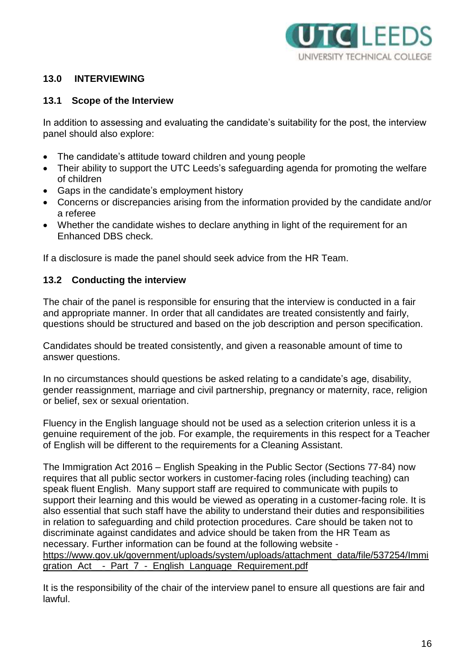

## **13.0 INTERVIEWING**

#### **13.1 Scope of the Interview**

In addition to assessing and evaluating the candidate's suitability for the post, the interview panel should also explore:

- The candidate's attitude toward children and young people
- Their ability to support the UTC Leeds's safeguarding agenda for promoting the welfare of children
- Gaps in the candidate's employment history
- Concerns or discrepancies arising from the information provided by the candidate and/or a referee
- Whether the candidate wishes to declare anything in light of the requirement for an Enhanced DBS check.

If a disclosure is made the panel should seek advice from the HR Team.

#### **13.2 Conducting the interview**

The chair of the panel is responsible for ensuring that the interview is conducted in a fair and appropriate manner. In order that all candidates are treated consistently and fairly, questions should be structured and based on the job description and person specification.

Candidates should be treated consistently, and given a reasonable amount of time to answer questions.

In no circumstances should questions be asked relating to a candidate's age, disability, gender reassignment, marriage and civil partnership, pregnancy or maternity, race, religion or belief, sex or sexual orientation.

Fluency in the English language should not be used as a selection criterion unless it is a genuine requirement of the job. For example, the requirements in this respect for a Teacher of English will be different to the requirements for a Cleaning Assistant.

The Immigration Act 2016 – English Speaking in the Public Sector (Sections 77-84) now requires that all public sector workers in customer-facing roles (including teaching) can speak fluent English. Many support staff are required to communicate with pupils to support their learning and this would be viewed as operating in a customer-facing role. It is also essential that such staff have the ability to understand their duties and responsibilities in relation to safeguarding and child protection procedures. Care should be taken not to discriminate against candidates and advice should be taken from the HR Team as necessary. Further information can be found at the following website [https://www.gov.uk/government/uploads/system/uploads/attachment\\_data/file/537254/Immi](https://www.gov.uk/government/uploads/system/uploads/attachment_data/file/537254/Immigration_Act__-_Part_7_-_English_Language_Requirement.pdf) gration Act - Part 7 - English Language Requirement.pdf

It is the responsibility of the chair of the interview panel to ensure all questions are fair and lawful.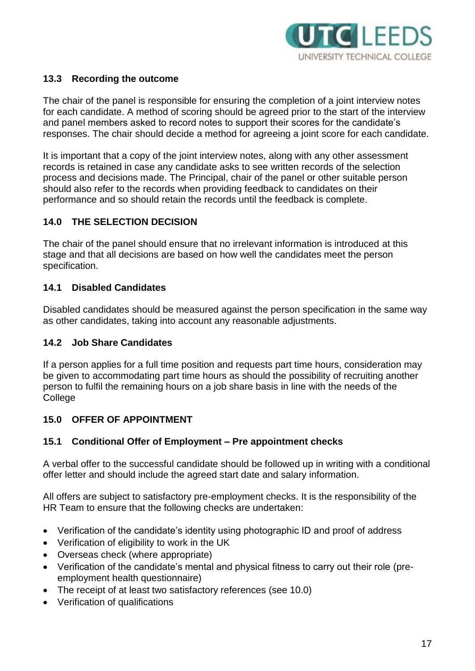

## **13.3 Recording the outcome**

The chair of the panel is responsible for ensuring the completion of a joint interview notes for each candidate. A method of scoring should be agreed prior to the start of the interview and panel members asked to record notes to support their scores for the candidate's responses. The chair should decide a method for agreeing a joint score for each candidate.

It is important that a copy of the joint interview notes, along with any other assessment records is retained in case any candidate asks to see written records of the selection process and decisions made. The Principal, chair of the panel or other suitable person should also refer to the records when providing feedback to candidates on their performance and so should retain the records until the feedback is complete.

#### **14.0 THE SELECTION DECISION**

The chair of the panel should ensure that no irrelevant information is introduced at this stage and that all decisions are based on how well the candidates meet the person specification.

#### **14.1 Disabled Candidates**

Disabled candidates should be measured against the person specification in the same way as other candidates, taking into account any reasonable adjustments.

#### **14.2 Job Share Candidates**

If a person applies for a full time position and requests part time hours, consideration may be given to accommodating part time hours as should the possibility of recruiting another person to fulfil the remaining hours on a job share basis in line with the needs of the **College** 

#### **15.0 OFFER OF APPOINTMENT**

#### **15.1 Conditional Offer of Employment – Pre appointment checks**

A verbal offer to the successful candidate should be followed up in writing with a conditional offer letter and should include the agreed start date and salary information.

All offers are subject to satisfactory pre-employment checks. It is the responsibility of the HR Team to ensure that the following checks are undertaken:

- Verification of the candidate's identity using photographic ID and proof of address
- Verification of eligibility to work in the UK
- Overseas check (where appropriate)
- Verification of the candidate's mental and physical fitness to carry out their role (preemployment health questionnaire)
- The receipt of at least two satisfactory references (see 10.0)
- Verification of qualifications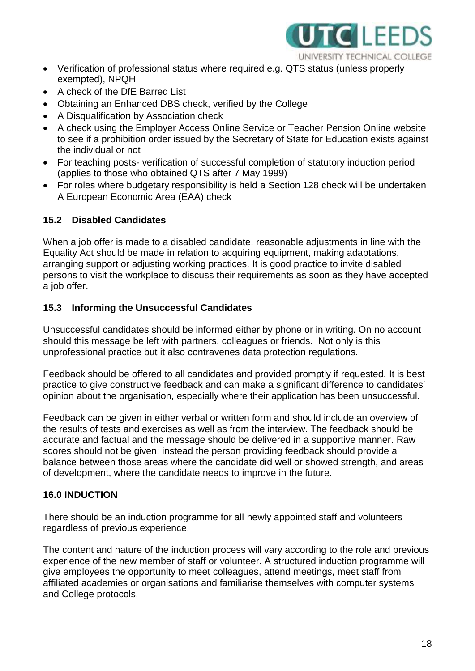

- Verification of professional status where required e.g. QTS status (unless properly exempted), NPQH
- A check of the DfE Barred List
- Obtaining an Enhanced DBS check, verified by the College
- A Disqualification by Association check
- A check using the Employer Access Online Service or Teacher Pension Online website to see if a prohibition order issued by the Secretary of State for Education exists against the individual or not
- For teaching posts- verification of successful completion of statutory induction period (applies to those who obtained QTS after 7 May 1999)
- For roles where budgetary responsibility is held a Section 128 check will be undertaken A European Economic Area (EAA) check

## **15.2 Disabled Candidates**

When a job offer is made to a disabled candidate, reasonable adjustments in line with the Equality Act should be made in relation to acquiring equipment, making adaptations, arranging support or adjusting working practices. It is good practice to invite disabled persons to visit the workplace to discuss their requirements as soon as they have accepted a job offer.

#### **15.3 Informing the Unsuccessful Candidates**

Unsuccessful candidates should be informed either by phone or in writing. On no account should this message be left with partners, colleagues or friends. Not only is this unprofessional practice but it also contravenes data protection regulations.

Feedback should be offered to all candidates and provided promptly if requested. It is best practice to give constructive feedback and can make a significant difference to candidates' opinion about the organisation, especially where their application has been unsuccessful.

Feedback can be given in either verbal or written form and should include an overview of the results of tests and exercises as well as from the interview. The feedback should be accurate and factual and the message should be delivered in a supportive manner. Raw scores should not be given; instead the person providing feedback should provide a balance between those areas where the candidate did well or showed strength, and areas of development, where the candidate needs to improve in the future.

## **16.0 INDUCTION**

There should be an induction programme for all newly appointed staff and volunteers regardless of previous experience.

The content and nature of the induction process will vary according to the role and previous experience of the new member of staff or volunteer. A structured induction programme will give employees the opportunity to meet colleagues, attend meetings, meet staff from affiliated academies or organisations and familiarise themselves with computer systems and College protocols.